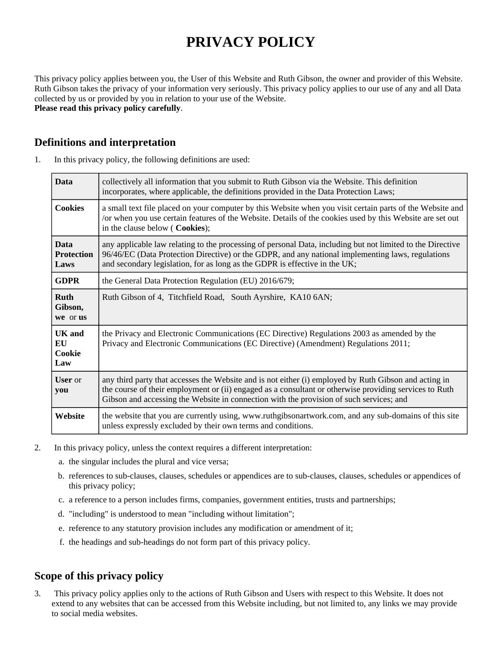# **PRIVACY POLICY**

This privacy policy applies between you, the User of this Website and Ruth Gibson, the owner and provider of this Website. Ruth Gibson takes the privacy of your information very seriously. This privacy policy applies to our use of any and all Data collected by us or provided by you in relation to your use of the Website. **Please read this privacy policy carefully**.

# **Definitions and interpretation**

| 1. | In this privacy policy, the following definitions are used: |  |  |
|----|-------------------------------------------------------------|--|--|
|----|-------------------------------------------------------------|--|--|

| <b>Data</b>                              | collectively all information that you submit to Ruth Gibson via the Website. This definition<br>incorporates, where applicable, the definitions provided in the Data Protection Laws;                                                                                                                      |  |
|------------------------------------------|------------------------------------------------------------------------------------------------------------------------------------------------------------------------------------------------------------------------------------------------------------------------------------------------------------|--|
| <b>Cookies</b>                           | a small text file placed on your computer by this Website when you visit certain parts of the Website and<br>/or when you use certain features of the Website. Details of the cookies used by this Website are set out<br>in the clause below (Cookies);                                                   |  |
| <b>Data</b><br><b>Protection</b><br>Laws | any applicable law relating to the processing of personal Data, including but not limited to the Directive<br>96/46/EC (Data Protection Directive) or the GDPR, and any national implementing laws, regulations<br>and secondary legislation, for as long as the GDPR is effective in the UK;              |  |
| <b>GDPR</b>                              | the General Data Protection Regulation (EU) 2016/679;                                                                                                                                                                                                                                                      |  |
| <b>Ruth</b><br>Gibson,<br>we or us       | Ruth Gibson of 4, Titchfield Road, South Ayrshire, KA10 6AN;                                                                                                                                                                                                                                               |  |
| <b>UK</b> and<br>EU<br>Cookie<br>Law     | the Privacy and Electronic Communications (EC Directive) Regulations 2003 as amended by the<br>Privacy and Electronic Communications (EC Directive) (Amendment) Regulations 2011;                                                                                                                          |  |
| <b>User</b> or<br>you                    | any third party that accesses the Website and is not either (i) employed by Ruth Gibson and acting in<br>the course of their employment or (ii) engaged as a consultant or otherwise providing services to Ruth<br>Gibson and accessing the Website in connection with the provision of such services; and |  |
| Website                                  | the website that you are currently using, www.ruthgibsonartwork.com, and any sub-domains of this site<br>unless expressly excluded by their own terms and conditions.                                                                                                                                      |  |

- 2. In this privacy policy, unless the context requires a different interpretation:
	- a. the singular includes the plural and vice versa;
	- b. references to sub-clauses, clauses, schedules or appendices are to sub-clauses, clauses, schedules or appendices of this privacy policy;
	- c. a reference to a person includes firms, companies, government entities, trusts and partnerships;
	- d. "including" is understood to mean "including without limitation";
	- e. reference to any statutory provision includes any modification or amendment of it;
	- f. the headings and sub-headings do not form part of this privacy policy.

# **Scope of this privacy policy**

3. This privacy policy applies only to the actions of Ruth Gibson and Users with respect to this Website. It does not extend to any websites that can be accessed from this Website including, but not limited to, any links we may provide to social media websites.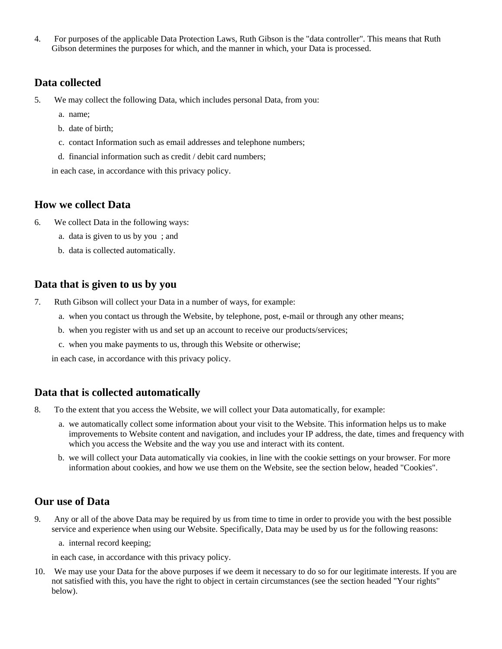4. For purposes of the applicable Data Protection Laws, Ruth Gibson is the "data controller". This means that Ruth Gibson determines the purposes for which, and the manner in which, your Data is processed.

#### **Data collected**

- 5. We may collect the following Data, which includes personal Data, from you:
	- a. name;
	- b. date of birth;
	- c. contact Information such as email addresses and telephone numbers;
	- d. financial information such as credit / debit card numbers;

in each case, in accordance with this privacy policy.

# **How we collect Data**

- 6. We collect Data in the following ways:
	- a. data is given to us by you ; and
	- b. data is collected automatically.

#### **Data that is given to us by you**

- 7. Ruth Gibson will collect your Data in a number of ways, for example:
	- a. when you contact us through the Website, by telephone, post, e-mail or through any other means;
	- b. when you register with us and set up an account to receive our products/services;
	- c. when you make payments to us, through this Website or otherwise;

in each case, in accordance with this privacy policy.

#### **Data that is collected automatically**

- 8. To the extent that you access the Website, we will collect your Data automatically, for example:
	- a. we automatically collect some information about your visit to the Website. This information helps us to make improvements to Website content and navigation, and includes your IP address, the date, times and frequency with which you access the Website and the way you use and interact with its content.
	- b. we will collect your Data automatically via cookies, in line with the cookie settings on your browser. For more information about cookies, and how we use them on the Website, see the section below, headed "Cookies".

#### **Our use of Data**

9. Any or all of the above Data may be required by us from time to time in order to provide you with the best possible service and experience when using our Website. Specifically, Data may be used by us for the following reasons:

a. internal record keeping;

in each case, in accordance with this privacy policy.

10. We may use your Data for the above purposes if we deem it necessary to do so for our legitimate interests. If you are not satisfied with this, you have the right to object in certain circumstances (see the section headed "Your rights" below).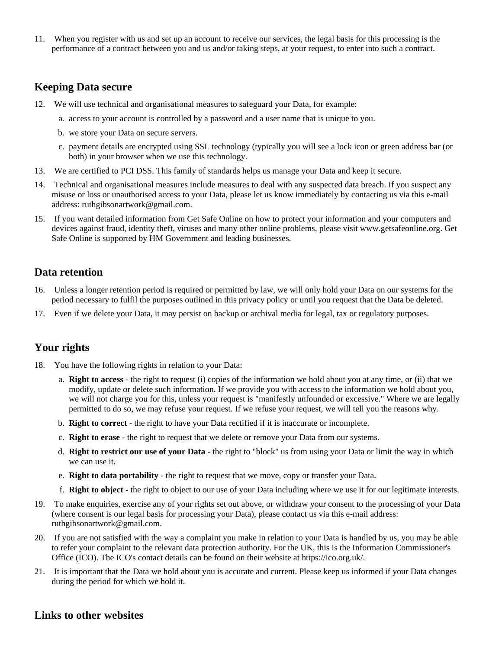11. When you register with us and set up an account to receive our services, the legal basis for this processing is the performance of a contract between you and us and/or taking steps, at your request, to enter into such a contract.

#### **Keeping Data secure**

- 12. We will use technical and organisational measures to safeguard your Data, for example:
	- a. access to your account is controlled by a password and a user name that is unique to you.
	- b. we store your Data on secure servers.
	- c. payment details are encrypted using SSL technology (typically you will see a lock icon or green address bar (or both) in your browser when we use this technology.
- 13. We are certified to PCI DSS. This family of standards helps us manage your Data and keep it secure.
- 14. Technical and organisational measures include measures to deal with any suspected data breach. If you suspect any misuse or loss or unauthorised access to your Data, please let us know immediately by contacting us via this e-mail address: ruthgibsonartwork@gmail.com.
- 15. If you want detailed information from Get Safe Online on how to protect your information and your computers and devices against fraud, identity theft, viruses and many other online problems, please visit www.getsafeonline.org. Get Safe Online is supported by HM Government and leading businesses.

#### **Data retention**

- 16. Unless a longer retention period is required or permitted by law, we will only hold your Data on our systems for the period necessary to fulfil the purposes outlined in this privacy policy or until you request that the Data be deleted.
- 17. Even if we delete your Data, it may persist on backup or archival media for legal, tax or regulatory purposes.

#### **Your rights**

- 18. You have the following rights in relation to your Data:
	- a. **Right to access** the right to request (i) copies of the information we hold about you at any time, or (ii) that we modify, update or delete such information. If we provide you with access to the information we hold about you, we will not charge you for this, unless your request is "manifestly unfounded or excessive." Where we are legally permitted to do so, we may refuse your request. If we refuse your request, we will tell you the reasons why.
	- b. **Right to correct** the right to have your Data rectified if it is inaccurate or incomplete.
	- c. **Right to erase** the right to request that we delete or remove your Data from our systems.
	- d. **Right to restrict our use of your Data** the right to "block" us from using your Data or limit the way in which we can use it.
	- e. **Right to data portability** the right to request that we move, copy or transfer your Data.
	- f. **Right to object** the right to object to our use of your Data including where we use it for our legitimate interests.
- 19. To make enquiries, exercise any of your rights set out above, or withdraw your consent to the processing of your Data (where consent is our legal basis for processing your Data), please contact us via this e-mail address: ruthgibsonartwork@gmail.com.
- 20. If you are not satisfied with the way a complaint you make in relation to your Data is handled by us, you may be able to refer your complaint to the relevant data protection authority. For the UK, this is the Information Commissioner's Office (ICO). The ICO's contact details can be found on their website at https://ico.org.uk/.
- 21. It is important that the Data we hold about you is accurate and current. Please keep us informed if your Data changes during the period for which we hold it.

#### **Links to other websites**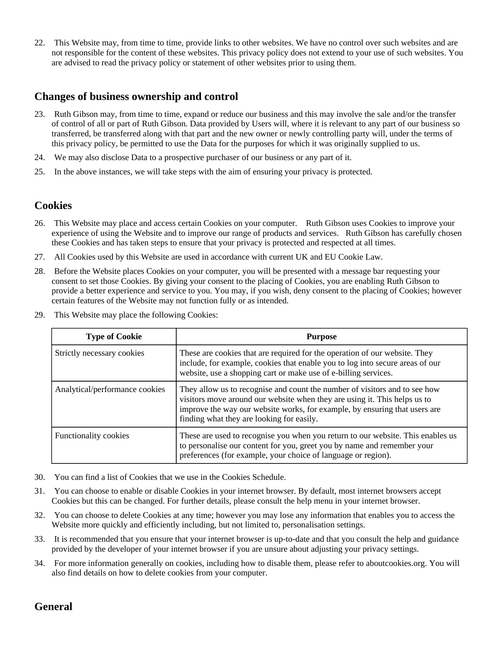22. This Website may, from time to time, provide links to other websites. We have no control over such websites and are not responsible for the content of these websites. This privacy policy does not extend to your use of such websites. You are advised to read the privacy policy or statement of other websites prior to using them.

# **Changes of business ownership and control**

- 23. Ruth Gibson may, from time to time, expand or reduce our business and this may involve the sale and/or the transfer of control of all or part of Ruth Gibson. Data provided by Users will, where it is relevant to any part of our business so transferred, be transferred along with that part and the new owner or newly controlling party will, under the terms of this privacy policy, be permitted to use the Data for the purposes for which it was originally supplied to us.
- 24. We may also disclose Data to a prospective purchaser of our business or any part of it.
- 25. In the above instances, we will take steps with the aim of ensuring your privacy is protected.

#### **Cookies**

- 26. This Website may place and access certain Cookies on your computer. Ruth Gibson uses Cookies to improve your experience of using the Website and to improve our range of products and services. Ruth Gibson has carefully chosen these Cookies and has taken steps to ensure that your privacy is protected and respected at all times.
- 27. All Cookies used by this Website are used in accordance with current UK and EU Cookie Law.
- 28. Before the Website places Cookies on your computer, you will be presented with a message bar requesting your consent to set those Cookies. By giving your consent to the placing of Cookies, you are enabling Ruth Gibson to provide a better experience and service to you. You may, if you wish, deny consent to the placing of Cookies; however certain features of the Website may not function fully or as intended.
- 29. This Website may place the following Cookies:

| <b>Type of Cookie</b>          | <b>Purpose</b>                                                                                                                                                                                                                                                                     |
|--------------------------------|------------------------------------------------------------------------------------------------------------------------------------------------------------------------------------------------------------------------------------------------------------------------------------|
| Strictly necessary cookies     | These are cookies that are required for the operation of our website. They<br>include, for example, cookies that enable you to log into secure areas of our<br>website, use a shopping cart or make use of e-billing services.                                                     |
| Analytical/performance cookies | They allow us to recognise and count the number of visitors and to see how<br>visitors move around our website when they are using it. This helps us to<br>improve the way our website works, for example, by ensuring that users are<br>finding what they are looking for easily. |
| <b>Functionality cookies</b>   | These are used to recognise you when you return to our website. This enables us<br>to personalise our content for you, greet you by name and remember your<br>preferences (for example, your choice of language or region).                                                        |

- 30. You can find a list of Cookies that we use in the Cookies Schedule.
- 31. You can choose to enable or disable Cookies in your internet browser. By default, most internet browsers accept Cookies but this can be changed. For further details, please consult the help menu in your internet browser.
- 32. You can choose to delete Cookies at any time; however you may lose any information that enables you to access the Website more quickly and efficiently including, but not limited to, personalisation settings.
- 33. It is recommended that you ensure that your internet browser is up-to-date and that you consult the help and guidance provided by the developer of your internet browser if you are unsure about adjusting your privacy settings.
- 34. For more information generally on cookies, including how to disable them, please refer to aboutcookies.org. You will also find details on how to delete cookies from your computer.

# **General**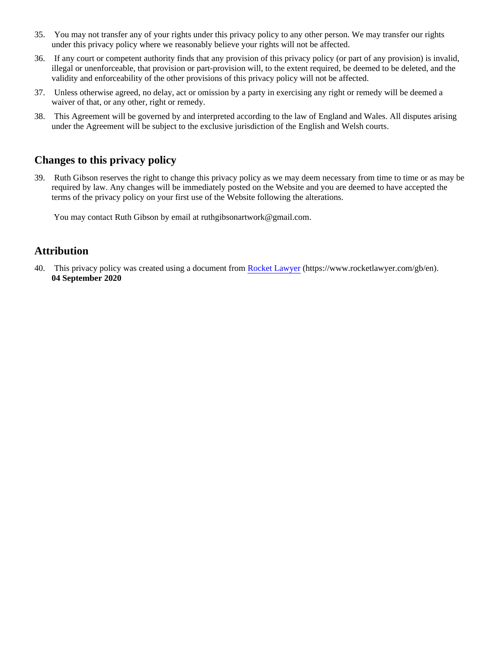- 35. You may not transfer any of your rights under this privacy policy to any other person. We may transfer our rights under this privacy policy where we reasonably believe your rights will not be affected.
- 36. If any court or competent authority finds that any provision of this privacy policy (or part of any provision) is invalid, illegal or unenforceable, that provision or part-provision will, to the extent required, be deemed to be deleted, and the validity and enforceability of the other provisions of this privacy policy will not be affected.
- 37. Unless otherwise agreed, no delay, act or omission by a party in exercising any right or remedy will be deemed a waiver of that, or any other, right or remedy.
- 38. This Agreement will be governed by and interpreted according to the law of England and Wales. All disputes arising under the Agreement will be subject to the exclusive jurisdiction of the English and Welsh courts.

# **Changes to this privacy policy**

39. Ruth Gibson reserves the right to change this privacy policy as we may deem necessary from time to time or as may be required by law. Any changes will be immediately posted on the Website and you are deemed to have accepted the terms of the privacy policy on your first use of the Website following the alterations.

You may contact Ruth Gibson by email at ruthgibsonartwork@gmail.com.

# **Attribution**

40. This privacy policy was created using a document from [Rocket Lawyer](https://www.rocketlawyer.com/gb/en/) (https://www.rocketlawyer.com/gb/en). **04 September 2020**